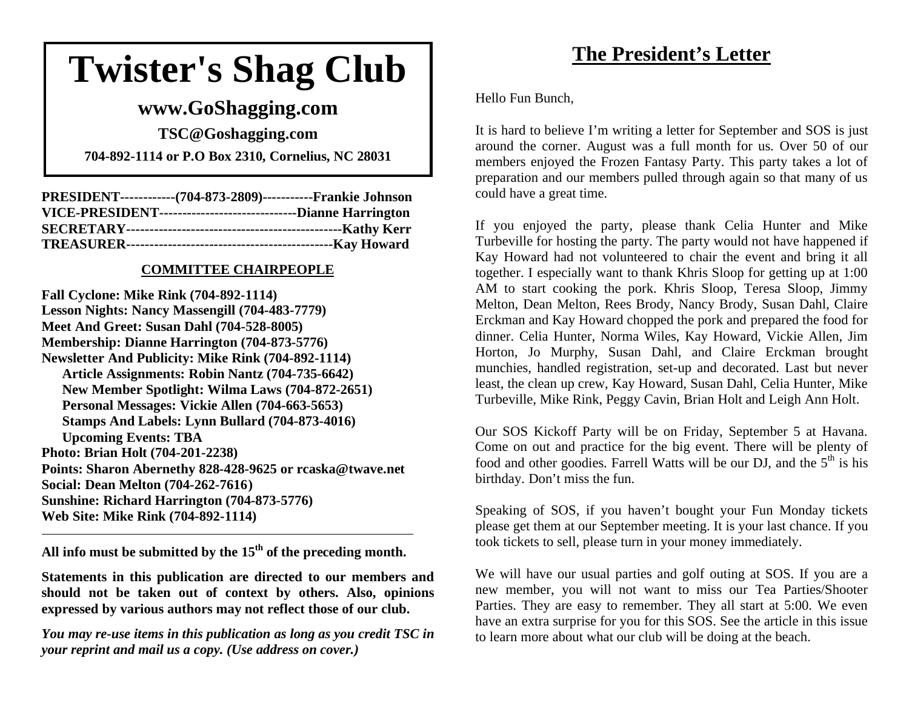# **Twister's Shag Club**

### **www.GoShagging.com**

**TSC@Goshagging.com 704-892-1114 or P.O Box 2310, Cornelius, NC 28031** 

| PRESIDENT-------------(704-873-2809)------------Frankie Johnson   |  |
|-------------------------------------------------------------------|--|
| VICE-PRESIDENT----------------------------------Dianne Harrington |  |
|                                                                   |  |
|                                                                   |  |

### **COMMITTEE CHAIRPEOPLE**

**Fall Cyclone: Mike Rink (704-892-1114) Lesson Nights: Nancy Massengill (704-483-7779) Meet And Greet: Susan Dahl (704-528-8005) Membership: Dianne Harrington (704-873-5776) Newsletter And Publicity: Mike Rink (704-892-1114) Article Assignments: Robin Nantz (704-735-6642) New Member Spotlight: Wilma Laws (704-872-2651) Personal Messages: Vickie Allen (704-663-5653) Stamps And Labels: Lynn Bullard (704-873-4016) Upcoming Events: TBA Photo: Brian Holt (704-201-2238) Points: Sharon Abernethy 828-428-9625 or rcaska@twave.net Social: Dean Melton (704-262-7616 ) Sunshine: Richard Harrington (704-873-5776) Web Site: Mike Rink (704-892-1114)** 

**All info must be submitted by the 15th of the preceding month.** 

**Statements in this publication are directed to our members and should not be taken out of context by others. Also, opinions expressed by various authors may not reflect those of our club.** 

*You may re-use items in this publication as long as you credit TSC in your reprint and mail us a copy. (Use address on cover.)* 

# **The President's Letter**

Hello Fun Bunch,

It is hard to believe I'm writing a letter for September and SOS is just around the corner. August was a full month for us. Over 50 of our members enjoyed the Frozen Fantasy Party. This party takes a lot of preparation and our members pulled through again so that many of us could have a great time.

If you enjoyed the party, please thank Celia Hunter and Mike Turbeville for hosting the party. The party would not have happened if Kay Howard had not volunteered to chair the event and bring it all together. I especially want to thank Khris Sloop for getting up at 1:00 AM to start cooking the pork. Khris Sloop, Teresa Sloop, Jimmy Melton, Dean Melton, Rees Brody, Nancy Brody, Susan Dahl, Claire Erckman and Kay Howard chopped the pork and prepared the food for dinner. Celia Hunter, Norma Wiles, Kay Howard, Vickie Allen, Jim Horton, Jo Murphy, Susan Dahl, and Claire Erckman brought munchies, handled registration, set-up and decorated. Last but never least, the clean up crew, Kay Howard, Susan Dahl, Celia Hunter, Mike Turbeville, Mike Rink, Peggy Cavin, Brian Holt and Leigh Ann Holt.

Our SOS Kickoff Party will be on Friday, September 5 at Havana. Come on out and practice for the big event. There will be plenty of food and other goodies. Farrell Watts will be our DJ, and the  $5<sup>th</sup>$  is his birthday. Don't miss the fun.

Speaking of SOS, if you haven't bought your Fun Monday tickets please get them at our September meeting. It is your last chance. If you took tickets to sell, please turn in your money immediately.

We will have our usual parties and golf outing at SOS. If you are a new member, you will not want to miss our Tea Parties/Shooter Parties. They are easy to remember. They all start at 5:00. We even have an extra surprise for you for this SOS. See the article in this issue to learn more about what our club will be doing at the beach.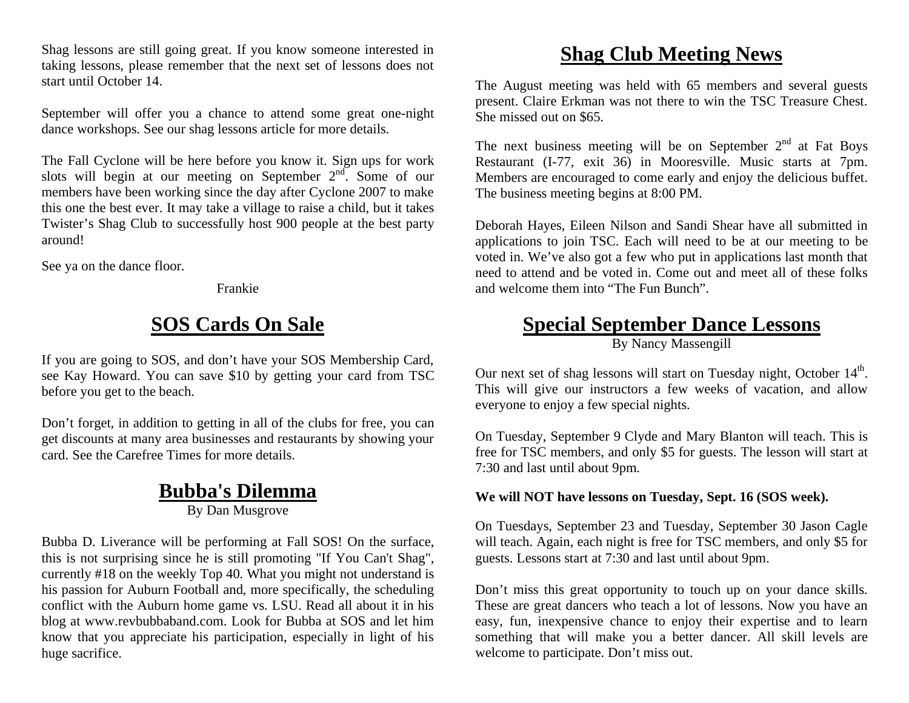Shag lessons are still going great. If you know someone interested in taking lessons, please remember that the next set of lessons does not start until October 14.

September will offer you a chance to attend some great one-night dance workshops. See our shag lessons article for more details.

The Fall Cyclone will be here before you know it. Sign ups for work slots will begin at our meeting on September  $2<sup>nd</sup>$ . Some of our members have been working since the day after Cyclone 2007 to make this one the best ever. It may take a village to raise a child, but it takes Twister's Shag Club to successfully host 900 people at the best party around!

See ya on the dance floor.

Frankie

# **SOS Cards On Sale**

If you are going to SOS, and don't have your SOS Membership Card, see Kay Howard. You can save \$10 by getting your card from TSC before you get to the beach.

Don't forget, in addition to getting in all of the clubs for free, you can get discounts at many area businesses and restaurants by showing your card. See the Carefree Times for more details.

### **Bubba's Dilemma**

By Dan Musgrove

Bubba D. Liverance will be performing at Fall SOS! On the surface, this is not surprising since he is still promoting "If You Can't Shag", currently #18 on the weekly Top 40. What you might not understand is his passion for Auburn Football and, more specifically, the scheduling conflict with the Auburn home game vs. LSU. Read all about it in his blog at www.revbubbaband.com. Look for Bubba at SOS and let him know that you appreciate his participation, especially in light of his huge sacrifice.

### **Shag Club Meeting News**

The August meeting was held with 65 members and several guests present. Claire Erkman was not there to win the TSC Treasure Chest. She missed out on \$65.

The next business meeting will be on September  $2<sup>nd</sup>$  at Fat Boys Restaurant (I-77, exit 36) in Mooresville. Music starts at 7pm. Members are encouraged to come early and enjoy the delicious buffet. The business meeting begins at 8:00 PM.

Deborah Hayes, Eileen Nilson and Sandi Shear have all submitted in applications to join TSC. Each will need to be at our meeting to be voted in. We've also got a few who put in applications last month that need to attend and be voted in. Come out and meet all of these folks and welcome them into "The Fun Bunch".

### **Special September Dance Lessons**

By Nancy Massengill

Our next set of shag lessons will start on Tuesday night, October 14<sup>th</sup>. This will give our instructors a few weeks of vacation, and allow everyone to enjoy a few special nights.

On Tuesday, September 9 Clyde and Mary Blanton will teach. This is free for TSC members, and only \$5 for guests. The lesson will start at 7:30 and last until about 9pm.

#### **We will NOT have lessons on Tuesday, Sept. 16 (SOS week).**

On Tuesdays, September 23 and Tuesday, September 30 Jason Cagle will teach. Again, each night is free for TSC members, and only \$5 for guests. Lessons start at 7:30 and last until about 9pm.

Don't miss this great opportunity to touch up on your dance skills. These are great dancers who teach a lot of lessons. Now you have an easy, fun, inexpensive chance to enjoy their expertise and to learn something that will make you a better dancer. All skill levels are welcome to participate. Don't miss out.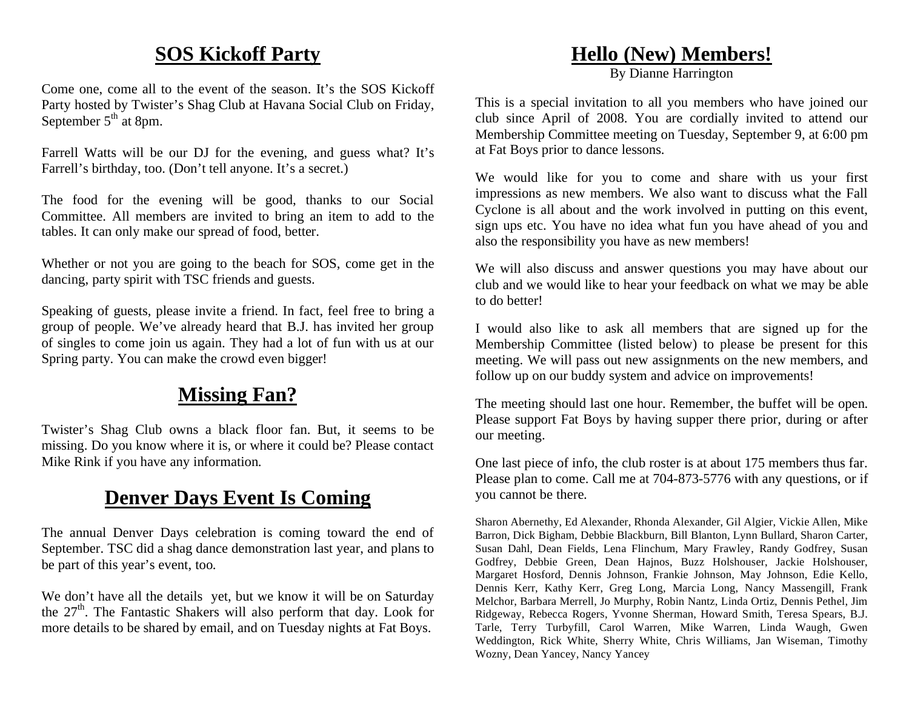### **SOS Kickoff Party**

Come one, come all to the event of the season. It's the SOS Kickoff Party hosted by Twister's Shag Club at Havana Social Club on Friday, September  $5<sup>th</sup>$  at 8pm.

Farrell Watts will be our DJ for the evening, and guess what? It's Farrell's birthday, too. (Don't tell anyone. It's a secret.)

The food for the evening will be good, thanks to our Social Committee. All members are invited to bring an item to add to the tables. It can only make our spread of food, better.

Whether or not you are going to the beach for SOS, come get in the dancing, party spirit with TSC friends and guests.

Speaking of guests, please invite a friend. In fact, feel free to bring a group of people. We've already heard that B.J. has invited her group of singles to come join us again. They had a lot of fun with us at our Spring party. You can make the crowd even bigger!

# **Missing Fan?**

Twister's Shag Club owns a black floor fan. But, it seems to be missing. Do you know where it is, or where it could be? Please contact Mike Rink if you have any information.

### **Denver Days Event Is Coming**

The annual Denver Days celebration is coming toward the end of September. TSC did a shag dance demonstration last year, and plans to be part of this year's event, too.

We don't have all the details yet, but we know it will be on Saturday the  $27<sup>th</sup>$ . The Fantastic Shakers will also perform that day. Look for more details to be shared by email, and on Tuesday nights at Fat Boys.

### **Hello (New) Members!**

By Dianne Harrington

This is a special invitation to all you members who have joined our club since April of 2008. You are cordially invited to attend our Membership Committee meeting on Tuesday, September 9, at 6:00 pm at Fat Boys prior to dance lessons.

We would like for you to come and share with us your first impressions as new members. We also want to discuss what the Fall Cyclone is all about and the work involved in putting on this event, sign ups etc. You have no idea what fun you have ahead of you and also the responsibility you have as new members!

We will also discuss and answer questions you may have about our club and we would like to hear your feedback on what we may be able to do better!

I would also like to ask all members that are signed up for the Membership Committee (listed below) to please be present for this meeting. We will pass out new assignments on the new members, and follow up on our buddy system and advice on improvements!

The meeting should last one hour. Remember, the buffet will be open. Please support Fat Boys by having supper there prior, during or after our meeting.

One last piece of info, the club roster is at about 175 members thus far. Please plan to come. Call me at 704-873-5776 with any questions, or if you cannot be there.

Sharon Abernethy, Ed Alexander, Rhonda Alexander, Gil Algier, Vickie Allen, Mike Barron, Dick Bigham, Debbie Blackburn, Bill Blanton, Lynn Bullard, Sharon Carter, Susan Dahl, Dean Fields, Lena Flinchum, Mary Frawley, Randy Godfrey, Susan Godfrey, Debbie Green, Dean Hajnos, Buzz Holshouser, Jackie Holshouser, Margaret Hosford, Dennis Johnson, Frankie Johnson, May Johnson, Edie Kello, Dennis Kerr, Kathy Kerr, Greg Long, Marcia Long, Nancy Massengill, Frank Melchor, Barbara Merrell, Jo Murphy, Robin Nantz, Linda Ortiz, Dennis Pethel, Jim Ridgeway, Rebecca Rogers, Yvonne Sherman, Howard Smith, Teresa Spears, B.J. Tarle, Terry Turbyfill, Carol Warren, Mike Warren, Linda Waugh, Gwen Weddington, Rick White, Sherry White, Chris Williams, Jan Wiseman, Timothy Wozny, Dean Yancey, Nancy Yancey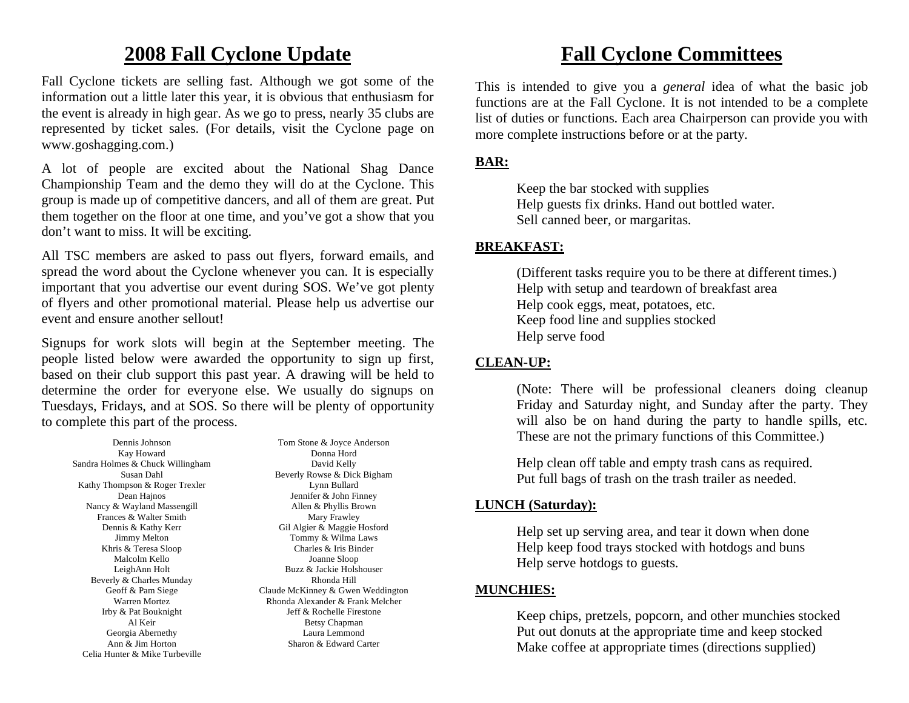### **2008 Fall Cyclone Update**

Fall Cyclone tickets are selling fast. Although we got some of the information out a little later this year, it is obvious that enthusiasm for the event is already in high gear. As we go to press, nearly 35 clubs are represented by ticket sales. (For details, visit the Cyclone page on www.goshagging.com.)

A lot of people are excited about the National Shag Dance Championship Team and the demo they will do at the Cyclone. This group is made up of competitive dancers, and all of them are great. Put them together on the floor at one time, and you've got a show that you don't want to miss. It will be exciting.

All TSC members are asked to pass out flyers, forward emails, and spread the word about the Cyclone whenever you can. It is especially important that you advertise our event during SOS. We've got plenty of flyers and other promotional material. Please help us advertise our event and ensure another sellout!

Signups for work slots will begin at the September meeting. The people listed below were awarded the opportunity to sign up first, based on their club support this past year. A drawing will be held to determine the order for everyone else. We usually do signups on Tuesdays, Fridays, and at SOS. So there will be plenty of opportunity to complete this part of the process.

Dennis Johnson Kay Howard Sandra Holmes & Chuck Willingham Susan Dahl Kathy Thompson & Roger Trexler Dean Hajnos Nancy & Wayland Massengill Frances & Walter Smith Dennis & Kathy Kerr Jimmy Melton Khris & Teresa Sloop Malcolm Kello LeighAnn Holt Beverly & Charles Munday Geoff & Pam Siege Warren Mortez Irby & Pat Bouknight Al Keir Georgia Abernethy Ann & Jim Horton Celia Hunter & Mike Turbeville

Tom Stone & Joyce Anderson Donna Hord David Kelly Beverly Rowse & Dick Bigham Lynn Bullard Jennifer & John Finney Allen & Phyllis Brown Mary Frawley Gil Algier & Maggie Hosford Tommy & Wilma Laws Charles & Iris Binder Joanne Sloop Buzz & Jackie Holshouser Rhonda Hill Claude McKinney & Gwen Weddington Rhonda Alexander & Frank Melcher Jeff & Rochelle Firestone Betsy Chapman Laura Lemmond Sharon & Edward Carter

### **Fall Cyclone Committees**

This is intended to give you a *general* idea of what the basic job functions are at the Fall Cyclone. It is not intended to be a complete list of duties or functions. Each area Chairperson can provide you with more complete instructions before or at the party.

#### **BAR:**

 Keep the bar stocked with supplies Help guests fix drinks. Hand out bottled water. Sell canned beer, or margaritas.

#### **BREAKFAST:**

(Different tasks require you to be there at different times.) Help with setup and teardown of breakfast area Help cook eggs, meat, potatoes, etc. Keep food line and supplies stocked Help serve food

### **CLEAN-UP:**

 (Note: There will be professional cleaners doing cleanup Friday and Saturday night, and Sunday after the party. They will also be on hand during the party to handle spills, etc. These are not the primary functions of this Committee.)

 Help clean off table and empty trash cans as required. Put full bags of trash on the trash trailer as needed.

### **LUNCH (Saturday):**

Help set up serving area, and tear it down when done Help keep food trays stocked with hotdogs and buns Help serve hotdogs to guests.

### **MUNCHIES:**

 Keep chips, pretzels, popcorn, and other munchies stocked Put out donuts at the appropriate time and keep stocked Make coffee at appropriate times (directions supplied)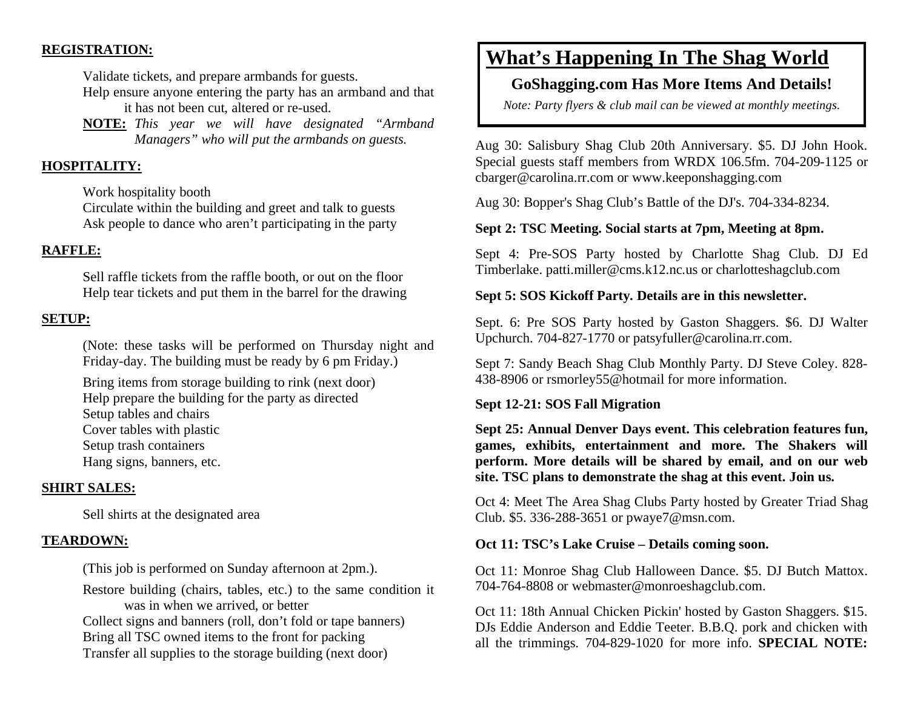#### **REGISTRATION:**

Validate tickets, and prepare armbands for guests.

- Help ensure anyone entering the party has an armband and that it has not been cut, altered or re-used.
- **NOTE:** *This year we will have designated "Armband Managers" who will put the armbands on guests.*

#### **HOSPITALITY:**

Work hospitality booth

Circulate within the building and greet and talk to guests Ask people to dance who aren't participating in the party

#### **RAFFLE:**

 Sell raffle tickets from the raffle booth, or out on the floor Help tear tickets and put them in the barrel for the drawing

#### **SETUP:**

 (Note: these tasks will be performed on Thursday night and Friday-day. The building must be ready by 6 pm Friday.)

 Bring items from storage building to rink (next door) Help prepare the building for the party as directed Setup tables and chairs Cover tables with plastic Setup trash containers Hang signs, banners, etc.

#### **SHIRT SALES:**

Sell shirts at the designated area

#### **TEARDOWN:**

(This job is performed on Sunday afternoon at 2pm.).

Restore building (chairs, tables, etc.) to the same condition it was in when we arrived, or better

Collect signs and banners (roll, don't fold or tape banners) Bring all TSC owned items to the front for packing Transfer all supplies to the storage building (next door)

### **What's Happening In The Shag World**

### **GoShagging.com Has More Items And Details!**

*Note: Party flyers & club mail can be viewed at monthly meetings.* 

Aug 30: Salisbury Shag Club 20th Anniversary. \$5. DJ John Hook. Special guests staff members from WRDX 106.5fm. 704-209-1125 or cbarger@carolina.rr.com or www.keeponshagging.com

Aug 30: Bopper's Shag Club's Battle of the DJ's. 704-334-8234.

#### **Sept 2: TSC Meeting. Social starts at 7pm, Meeting at 8pm.**

Sept 4: Pre-SOS Party hosted by Charlotte Shag Club. DJ Ed Timberlake. patti.miller@cms.k12.nc.us or charlotteshagclub.com

#### **Sept 5: SOS Kickoff Party. Details are in this newsletter.**

Sept. 6: Pre SOS Party hosted by Gaston Shaggers. \$6. DJ Walter Upchurch. 704-827-1770 or patsyfuller@carolina.rr.com.

Sept 7: Sandy Beach Shag Club Monthly Party. DJ Steve Coley. 828- 438-8906 or rsmorley55@hotmail for more information.

#### **Sept 12-21: SOS Fall Migration**

**Sept 25: Annual Denver Days event. This celebration features fun, games, exhibits, entertainment and more. The Shakers will perform. More details will be shared by email, and on our web site. TSC plans to demonstrate the shag at this event. Join us.**

Oct 4: Meet The Area Shag Clubs Party hosted by Greater Triad Shag Club. \$5. 336-288-3651 or pwaye7@msn.com.

#### **Oct 11: TSC's Lake Cruise – Details coming soon.**

Oct 11: Monroe Shag Club Halloween Dance. \$5. DJ Butch Mattox. 704-764-8808 or webmaster@monroeshagclub.com.

Oct 11: 18th Annual Chicken Pickin' hosted by Gaston Shaggers. \$15. DJs Eddie Anderson and Eddie Teeter. B.B.Q. pork and chicken with all the trimmings. 704-829-1020 for more info. **SPECIAL NOTE:**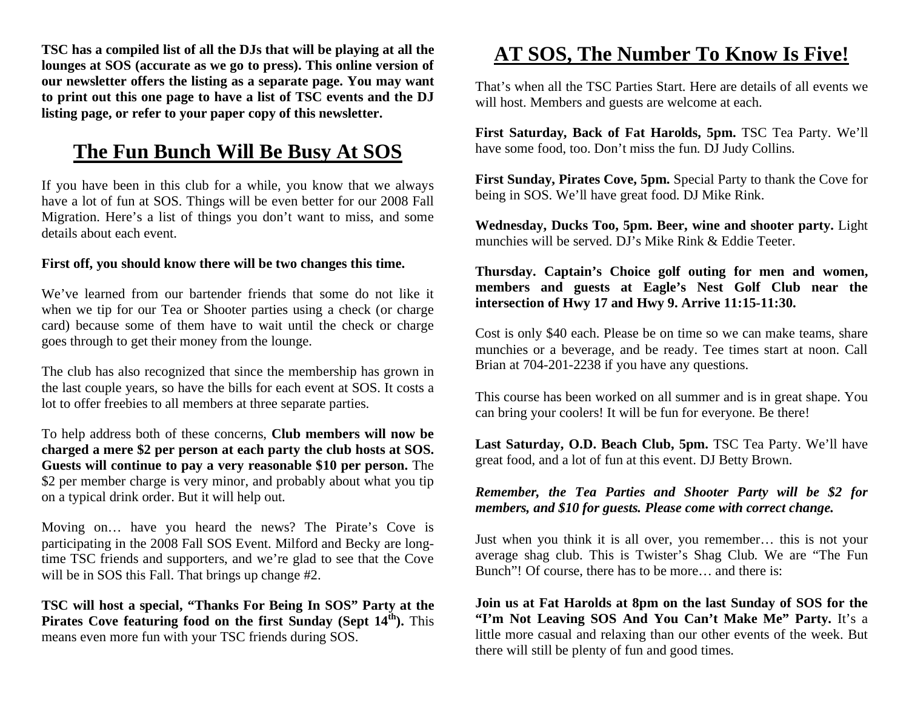**TSC has a compiled list of all the DJs that will be playing at all the lounges at SOS (accurate as we go to press). This online version of our newsletter offers the listing as a separate page. You may want to print out this one page to have a list of TSC events and the DJ listing page, or refer to your paper copy of this newsletter.** 

### **The Fun Bunch Will Be Busy At SOS**

If you have been in this club for a while, you know that we always have a lot of fun at SOS. Things will be even better for our 2008 Fall Migration. Here's a list of things you don't want to miss, and some details about each event.

#### **First off, you should know there will be two changes this time.**

We've learned from our bartender friends that some do not like it when we tip for our Tea or Shooter parties using a check (or charge card) because some of them have to wait until the check or charge goes through to get their money from the lounge.

The club has also recognized that since the membership has grown in the last couple years, so have the bills for each event at SOS. It costs a lot to offer freebies to all members at three separate parties.

To help address both of these concerns, **Club members will now be charged a mere \$2 per person at each party the club hosts at SOS. Guests will continue to pay a very reasonable \$10 per person.** The \$2 per member charge is very minor, and probably about what you tip on a typical drink order. But it will help out.

Moving on… have you heard the news? The Pirate's Cove is participating in the 2008 Fall SOS Event. Milford and Becky are longtime TSC friends and supporters, and we're glad to see that the Cove will be in SOS this Fall. That brings up change  $#2$ .

**TSC will host a special, "Thanks For Being In SOS" Party at the**  Pirates Cove featuring food on the first Sunday (Sept  $14^{\text{th}}$ ). This means even more fun with your TSC friends during SOS.

# **AT SOS, The Number To Know Is Five!**

That's when all the TSC Parties Start. Here are details of all events we will host. Members and guests are welcome at each.

**First Saturday, Back of Fat Harolds, 5pm.** TSC Tea Party. We'll have some food, too. Don't miss the fun. DJ Judy Collins.

**First Sunday, Pirates Cove, 5pm.** Special Party to thank the Cove for being in SOS. We'll have great food. DJ Mike Rink.

**Wednesday, Ducks Too, 5pm. Beer, wine and shooter party.** Light munchies will be served. DJ's Mike Rink & Eddie Teeter.

**Thursday. Captain's Choice golf outing for men and women, members and guests at Eagle's Nest Golf Club near the intersection of Hwy 17 and Hwy 9. Arrive 11:15-11:30.**

Cost is only \$40 each. Please be on time so we can make teams, share munchies or a beverage, and be ready. Tee times start at noon. Call Brian at 704-201-2238 if you have any questions.

This course has been worked on all summer and is in great shape. You can bring your coolers! It will be fun for everyone. Be there!

**Last Saturday, O.D. Beach Club, 5pm.** TSC Tea Party. We'll have great food, and a lot of fun at this event. DJ Betty Brown.

#### *Remember, the Tea Parties and Shooter Party will be \$2 for members, and \$10 for guests. Please come with correct change.*

Just when you think it is all over, you remember… this is not your average shag club. This is Twister's Shag Club. We are "The Fun Bunch"! Of course, there has to be more… and there is:

**Join us at Fat Harolds at 8pm on the last Sunday of SOS for the "I'm Not Leaving SOS And You Can't Make Me" Party.** It's a little more casual and relaxing than our other events of the week. But there will still be plenty of fun and good times.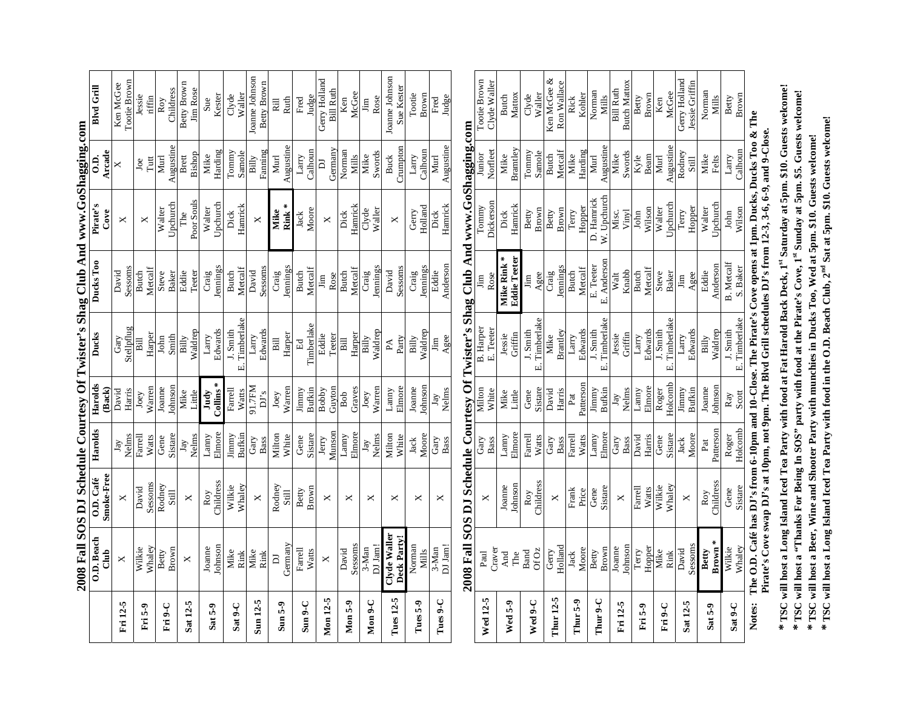|                                                  |                                       |              |             |               |                  | 2008 Fall SOS DJ Schedule Courtesy Of Twister's Shag Club And www.GoShagging.com |                   |                |                   |
|--------------------------------------------------|---------------------------------------|--------------|-------------|---------------|------------------|----------------------------------------------------------------------------------|-------------------|----------------|-------------------|
|                                                  | O.D. Beach                            | O.D. Café    | Harolds     | Harolds       | Ducks            | Ducks Too                                                                        | Pirate's          | $\ddot{c}$     | <b>Blvd Grill</b> |
|                                                  | $Cl$ ub                               | Smoke-Free   |             | Back)         |                  |                                                                                  | Cove              | Arcade         |                   |
| Fri 12-5                                         | ×                                     | ×            | Jay         | David         | Gary             | David                                                                            | ×                 | ×              | Ken McGee         |
|                                                  |                                       |              | Nelms       | Harris        | Stellpflug       | Sessoms                                                                          |                   |                | Tootie Brown      |
| Fri 5-9                                          | Wilkie                                | David        | ∃arre∐      | Joey          | Bill             | <b>Butch</b>                                                                     | ×                 | Joe            | Jessie            |
|                                                  | <b>Whaley</b>                         | Sessoms      | Watts       | Warren        | Harper           | Metcalf                                                                          |                   | Tutt           | riffin            |
| Fri 9-C                                          | Betty                                 | Rodney       | Gene        | Joanne        | John             | Steve                                                                            | <b>Walter</b>     | Murl           | Roy               |
|                                                  | Brown                                 | Still        | Sistare     | Johnson       | Smith            | <b>Baker</b>                                                                     | Upchurch          | Augustine      | Childress         |
| Sat 12-5                                         | ×                                     | ×            | Jay         | Mike          | Billy            | Eddie                                                                            | The               | Brett          | Betty Brown       |
|                                                  |                                       |              | Nelms       | Little        | Waldrep          | Teeter                                                                           | Poor Souls        | Bishop         | Jim Rose          |
| Sat 5-9                                          | Joanne                                | Roy          | Lanny       | Judy          | Larry            | Craig                                                                            | <b>Walter</b>     | Mike           | Sue               |
|                                                  | Johnson                               | Childress    | Elmore      | $Collins*$    | Edwards          | Jennings                                                                         | Upchurch          | Harding        | Kester            |
|                                                  | Mike                                  | Wilkie       | Jimmy       | Farrell       | J. Smith         | <b>Butch</b>                                                                     | Dick              | Tomny          | Clyde             |
| Sat 9-C                                          | Rink                                  | Whaley       | Bufkin      | Watts         | Timberlake<br>œi | Metcalf                                                                          | Hamrick           | Samole         | Waller            |
| Sun 12-5                                         | Mike                                  | ×            | Gary        | 91.7FM        | Larry            | David                                                                            | ×                 | Billy          | Joanne Johnson    |
|                                                  | Rink                                  |              | Bass        | DI's          | Edwards          | Sessoms                                                                          |                   | Faming         | Betty Brown       |
|                                                  | $\overline{D}$                        | Rodney       | Milton      | Joey          | Bill             | Craig                                                                            | Mike              | Murl           | Rill              |
| $Sum 5-9$                                        | Germany                               | Still        | White       | Warren        | Harper           | Jennings                                                                         | Rink <sup>*</sup> | Augustine      | <b>Ruth</b>       |
| $Sum 9-C$                                        | Farrell                               | <b>Betty</b> | Gene        | Jimmy         | Ed               | <b>Butch</b>                                                                     | Jack              | Larry          | Fred              |
|                                                  | Watts                                 | Brown        | Sistare     | <b>Bufkin</b> | Timberlake       | Metcalf                                                                          | Moore             | Calhoun        | Judge             |
| Mon 12-5                                         | ×                                     | ×            | Jerry       | Bobby         | Eddie            | Jim                                                                              | ×                 | $\overline{a}$ | Gerry Holland     |
|                                                  |                                       |              | Munson      | Guyton        | Teeter           | Rose                                                                             |                   | Germany        | <b>Bill Ruth</b>  |
| <b>Mon 5-9</b>                                   | David                                 | ×            | Lanny       | Bob           | Bill             | <b>Butch</b>                                                                     | Dick              | Norman         | Ken               |
|                                                  | Sessoms                               |              | Elmore      | Graves        | Harper           | Metcalf                                                                          | Hamrick           | Mills          | McGee             |
| $Mon 9-C$                                        | 3-Man                                 | ×            | Jay         | Joey          | Billy            | Craig                                                                            | Clyde             | Mike           | Jim               |
|                                                  | DJ Jam!                               |              | Nelms       | Warren        | Waldrep          | lennings                                                                         | Waller            | Swords         | Rose              |
| Tues 12-5                                        | Clyde Waller                          | ×            | Milton      | Lanny         | $P\Lambda$       | David                                                                            | ×                 | <b>Buck</b>    | Joanne Johnson    |
|                                                  | Deck Party!                           |              | White       | Elmore        | Party            | Sessoms                                                                          |                   | Crumpton       | Sue Kester        |
| Tues 5-9                                         | Norman                                | ×            | Jack        | Joanne        | <b>Billy</b>     | Craig                                                                            | Gerry             | Larry          | Tootie            |
|                                                  | Mills                                 |              | Moore       | Johnson       | Waldrep          | ennings                                                                          | Holland           | Calhoun        | Brown             |
| Tues 9-C                                         | 3-Man                                 | ×            | Gary        | Jay           | Jim              | Eddie                                                                            | Dick              | Murl           | Fred              |
|                                                  | DJ Jam!                               |              | <b>Bass</b> | Nelms         | Agee             | Anderson                                                                         | Hamrick           | Augustine      | Judge             |
|                                                  | 2008 Fall SOS DJ Schedule Courtesy Of |              |             |               |                  | Twister's Shag Club And www.GoShagging.com                                       |                   |                |                   |
|                                                  | Paul                                  |              | Gary        | Milton        | <b>B.</b> Harper | .<br>Im                                                                          | Tomny             | Junior         | Tootie Brown      |
| Wed 12-5                                         | Craver                                | ×            | Bass        | White         | E. Teeter        | Rose                                                                             | Dickerson         | Norfleet       | Clyde Waller      |
| $\overline{a}$ , $\overline{a}$ , $\overline{a}$ | And                                   | Joanne       | Lanny       | Mike          | Jessie           | Mike Rink*                                                                       | Dick              | Mike           | <b>Butch</b>      |

|                 |                    |           |           |               | 2008 Fall SOS DJ Schedule Courtesy Of Twister's Shag Club And www.GoShagging.com                        |                     |              |              |                       |
|-----------------|--------------------|-----------|-----------|---------------|---------------------------------------------------------------------------------------------------------|---------------------|--------------|--------------|-----------------------|
| <b>Wed 12-5</b> | Paul               | ×         | Gary      | Milton        | <b>B.</b> Harper                                                                                        | Jim                 | Tommy        | Junior       | Tootie Brown          |
|                 | Craver             |           | Bass      | White         | E. Teeter                                                                                               | Rose                | Dickerson    | Norfleet     | Clyde Waller          |
| Wed 5-9         |                    | Joanne    | Lanny     | Mike          | Jessie                                                                                                  | Mike Rink*          | Dick         | Mike         | <b>Butch</b>          |
|                 | And<br>The         | Johnson   | Elmore    | Little        | Griffin                                                                                                 | <b>Eddie Teeter</b> | Hamrick      | Bramtley     | Mattox                |
|                 | <b>Band</b>        | Roy       | Farrell   | Gene          | J. Smith                                                                                                | jim                 | Betty        | Tommy        | Clyde                 |
| $Weil 9-C$      | Of Oz              | Childress | Watts     | Sistare       | Timberlake<br>.<br>Ш                                                                                    | Agee                | Brown        | Samole       | Waller                |
| Thur 12-5       | Gerry              | ×         | Gary      | David         | Mike                                                                                                    | Craig               | <b>Betty</b> | <b>Butch</b> | Ken McGee &           |
|                 | Holland            |           | Bass      | Harris        | Brantley                                                                                                | Jennings            | Brown        | Metcalf      | Ron Wallace           |
| Thur 5-9        | Jack               | Frank     | Farrell   | Pat           | Larry                                                                                                   | <b>Butch</b>        | Terry        | Mike         | Rick                  |
|                 | Moore              | Price     | Watts     | Patterson     | Edwards                                                                                                 | Metcalf             | Hopper       | Harding      | Kohler                |
| Thur 9-C        | Betty              | Gene      | Lanny     | Jimmy         | J. Smith                                                                                                | E. Teeter           | D. Hanrick   | Murl         | Norman                |
|                 | Brown              | Sistare   | Elmore    | <b>Bufkin</b> | Timberlake<br>œi                                                                                        | E. Andersor         | W. Upchurch  | Augustine    | Mills                 |
| Fri 12-5        | Joanne             | ×         | Gary      | Jay           | Jessie                                                                                                  | Walt                | Misc.        | Mike         | <b>Bill Ruth</b>      |
|                 | ohnson             |           | Bass      | Nelms         | Griffin                                                                                                 | Knabb               | Vinyl        | Swords       | <b>Butch Mattox</b>   |
| Fri 5-9         | Terry              | Farrell   | David     | Lanny         | Larry                                                                                                   | <b>Butch</b>        | John         | Kyle<br>Beam | Betty                 |
|                 | Hopper             | Watts     | Harris    | Elmore        | Edwards                                                                                                 | Metcalf             | Wilson       |              | Brown                 |
| Fri 9-C         | Mike<br>Rink       | Wilkie    | Gene      | Roger         | J. Smith                                                                                                | Steve               | Walter       | Murl         | Ken                   |
|                 |                    | Whaley    | Sistare   | Holcomb       | Timberlake                                                                                              | <b>Baker</b>        | Upchurch     | Augustine    | McGee                 |
| Sat 12-5        | David              | ×         | Jack      | Jimmy         | Larry                                                                                                   | Jim                 | Terry        | Rodney       | Gerry Holland         |
|                 | Sessoms            |           | Moore     | Bufkin        | Edwards                                                                                                 | Agee                | Hopper       | Still        | <b>Jessie Griffin</b> |
|                 | Betty              | Roy       | Pat       | Joanne        | Billy                                                                                                   | Eddie               | Walter       | Mike         | Norman                |
| Sat 5-9         | Brown <sup>*</sup> | Childress | Patterson | Johnson       | Waldrep                                                                                                 | Anderson            | Jpchurch     | Felts        | Mills                 |
| $Sat 9-C$       | Wilkie             | Gene      | Roger     | Ray           | J. Smith                                                                                                | <b>B.</b> Metcalf   | John         | Larry        | Betty                 |
|                 | Whaley             | Sistare   | Holcomb   | Scott         | E. Timberlake                                                                                           | S. Baker            | Wilson       | Calhoun      | Brown                 |
| Notes:          |                    |           |           |               | The O.D. Café has DJ's from 6-10pm and 10-Close. The Pirate's Cove opens at 1pm. Ducks, Ducks Too & The |                     |              |              |                       |

1 he O.D. Cate has DJ's trom 6-10pm and 10-Close. 1he Friate's Cove opens at 1pm. Ducks, Ducks 1 00 & .<br>Pirate's Cove swap DJ's at 10pm, not 9pm. The Blvd Grill schedules DJ's from 12-3, 3-6, 6-9, and 9-Close. **Pirate's Cove swap DJ's at 10pm, not 9pm. The Blvd Grill schedules DJ's from 12-3, 3-6, 6-9, and 9-Close.** 

\* TSC will host a Long Island Iced Tea Party with food at Fat Harold Back Deck, 1<sup>st</sup> Saturday at 5pm. \$10. Guests welcome!<br>\* TSC will host a "Thanks For Being In SOS" party with food at the Pirate's Cove, 1<sup>st</sup> Sunday at **\* TSC will host a Long Island Iced Tea Party with food at Fat Harold Back Deck, 1st Saturday at 5pm. \$10. Guests welcome! \* TSC will host a "Thanks For Being In SOS" party with food at the Pirate's Cove, 1st Sunday at 5pm. \$5. Guests welcome!** 

**\* TSC will host a Beer, Wine and Shooter Party with munchies in Ducks Too, Wed at 5pm. \$10. Guests welcome!** 

**\* TSC will host a Long Island Iced Tea Party with food in the O.D. Beach Club, 2nd Sat at 5pm. \$10. Guests welcome!**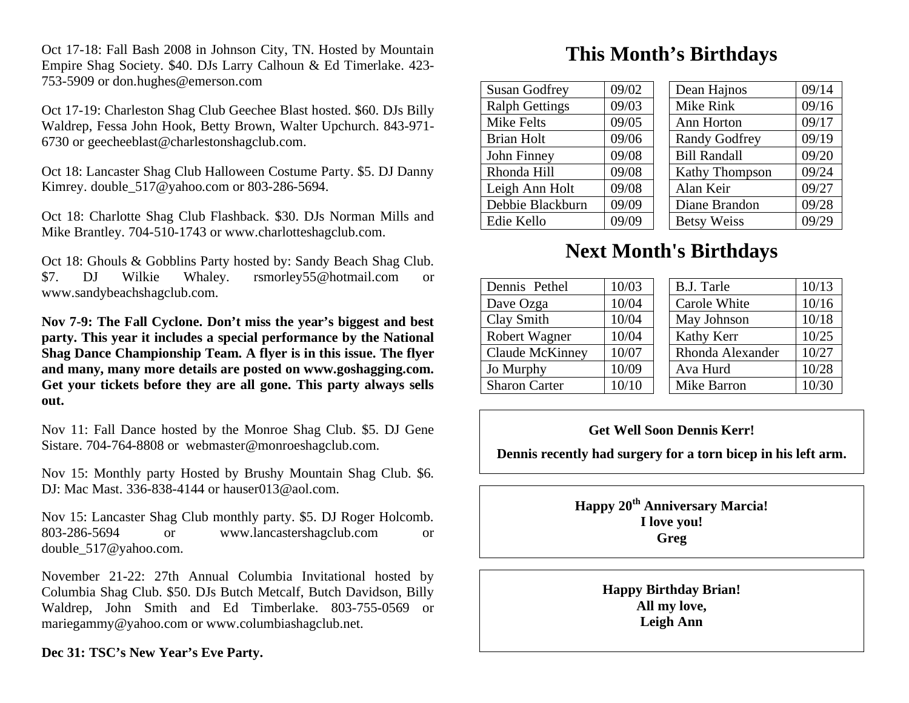Oct 17-18: Fall Bash 2008 in Johnson City, TN. Hosted by Mountain Empire Shag Society. \$40. DJs Larry Calhoun & Ed Timerlake. 423- 753-5909 or don.hughes@emerson.com

Oct 17-19: Charleston Shag Club Geechee Blast hosted. \$60. DJs Billy Waldrep, Fessa John Hook, Betty Brown, Walter Upchurch. 843-971- 6730 or geecheeblast@charlestonshagclub.com.

Oct 18: Lancaster Shag Club Halloween Costume Party. \$5. DJ Danny Kimrey. double 517@yahoo.com or 803-286-5694.

Oct 18: Charlotte Shag Club Flashback. \$30. DJs Norman Mills and Mike Brantley. 704-510-1743 or www.charlotteshagclub.com.

Oct 18: Ghouls & Gobblins Party hosted by: Sandy Beach Shag Club. \$7. DJ Wilkie Whaley. rsmorley55@hotmail.com or www.sandybeachshagclub.com.

**Nov 7-9: The Fall Cyclone. Don't miss the year's biggest and best party. This year it includes a special performance by the National Shag Dance Championship Team. A flyer is in this issue. The flyer and many, many more details are posted on www.goshagging.com. Get your tickets before they are all gone. This party always sells out.** 

Nov 11: Fall Dance hosted by the Monroe Shag Club. \$5. DJ Gene Sistare. 704-764-8808 or webmaster@monroeshagclub.com.

Nov 15: Monthly party Hosted by Brushy Mountain Shag Club. \$6. DJ: Mac Mast. 336-838-4144 or hauser013@aol.com.

Nov 15: Lancaster Shag Club monthly party. \$5. DJ Roger Holcomb. 803-286-5694 or www.lancastershagclub.com or double\_517@yahoo.com.

November 21-22: 27th Annual Columbia Invitational hosted by Columbia Shag Club. \$50. DJs Butch Metcalf, Butch Davidson, Billy Waldrep, John Smith and Ed Timberlake. 803-755-0569 or mariegammy@yahoo.com or www.columbiashagclub.net.

#### **Dec 31: TSC's New Year's Eve Party.**

### **This Month's Birthdays**

| <b>Susan Godfrey</b>  | 09/02 | Dean Hajnos          |                       | 09/14 |
|-----------------------|-------|----------------------|-----------------------|-------|
| <b>Ralph Gettings</b> | 09/03 | Mike Rink            |                       | 09/16 |
| Mike Felts            | 09/05 | Ann Horton           |                       | 09/17 |
| <b>Brian Holt</b>     | 09/06 | <b>Randy Godfrey</b> |                       | 09/19 |
| John Finney           | 09/08 | <b>Bill Randall</b>  |                       | 09/20 |
| Rhonda Hill           | 09/08 |                      | <b>Kathy Thompson</b> | 09/24 |
| Leigh Ann Holt        | 09/08 | Alan Keir            |                       | 09/27 |
| Debbie Blackburn      | 09/09 | Diane Brandon        |                       | 09/28 |
| Edie Kello            | 09/09 | <b>Betsy Weiss</b>   |                       | 09/29 |
|                       |       |                      |                       |       |

### **Next Month's Birthdays**

| Dennis Pethel        | 10/03 | B.J. Tarle       | 10/13 |
|----------------------|-------|------------------|-------|
| Dave Ozga            | 10/04 | Carole White     | 10/16 |
| Clay Smith           | 10/04 | May Johnson      | 10/18 |
| Robert Wagner        | 10/04 | Kathy Kerr       | 10/25 |
| Claude McKinney      | 10/07 | Rhonda Alexander | 10/27 |
| Jo Murphy            | 10/09 | Ava Hurd         | 10/28 |
| <b>Sharon Carter</b> | 10/10 | Mike Barron      | 10/30 |

#### **Get Well Soon Dennis Kerr!**

**Dennis recently had surgery for a torn bicep in his left arm.** 

**Happy 20th Anniversary Marcia! I love you! Greg** 

> **Happy Birthday Brian! All my love, Leigh Ann**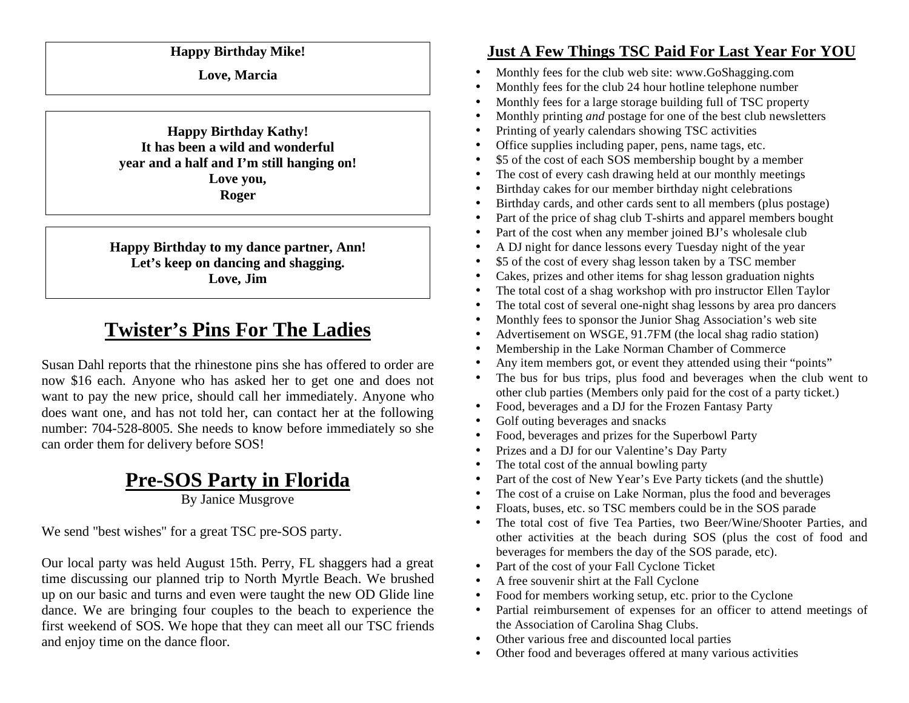#### **Happy Birthday Mike!**

**Love, Marcia** 

**Happy Birthday Kathy! It has been a wild and wonderful year and a half and I'm still hanging on! Love you, Roger** 

**Happy Birthday to my dance partner, Ann! Let's keep on dancing and shagging. Love, Jim** 

## **Twister's Pins For The Ladies**

Susan Dahl reports that the rhinestone pins she has offered to order are now \$16 each. Anyone who has asked her to get one and does not want to pay the new price, should call her immediately. Anyone who does want one, and has not told her, can contact her at the following number: 704-528-8005. She needs to know before immediately so she can order them for delivery before SOS!

# **Pre-SOS Party in Florida**

By Janice Musgrove

We send "best wishes" for a great TSC pre-SOS party.

Our local party was held August 15th. Perry, FL shaggers had a great time discussing our planned trip to North Myrtle Beach. We brushed up on our basic and turns and even were taught the new OD Glide line dance. We are bringing four couples to the beach to experience the first weekend of SOS. We hope that they can meet all our TSC friends and enjoy time on the dance floor.

### **Just A Few Things TSC Paid For Last Year For YOU**

- •Monthly fees for the club web site: www.GoShagging.com
- •Monthly fees for the club 24 hour hotline telephone number
- •Monthly fees for a large storage building full of TSC property
- •Monthly printing *and* postage for one of the best club newsletters
- •Printing of yearly calendars showing TSC activities
- •Office supplies including paper, pens, name tags, etc.
- •\$5 of the cost of each SOS membership bought by a member
- •The cost of every cash drawing held at our monthly meetings
- •Birthday cakes for our member birthday night celebrations
- •Birthday cards, and other cards sent to all members (plus postage)
- •Part of the price of shag club T-shirts and apparel members bought
- •Part of the cost when any member joined BJ's wholesale club
- •A DJ night for dance lessons every Tuesday night of the year
- •\$5 of the cost of every shag lesson taken by a TSC member
- •Cakes, prizes and other items for shag lesson graduation nights
- •The total cost of a shag workshop with pro instructor Ellen Taylor
- •The total cost of several one-night shag lessons by area pro dancers
- •Monthly fees to sponsor the Junior Shag Association's web site
- •Advertisement on WSGE, 91.7FM (the local shag radio station)
- •Membership in the Lake Norman Chamber of Commerce
- •Any item members got, or event they attended using their "points"
- • The bus for bus trips, plus food and beverages when the club went to other club parties (Members only paid for the cost of a party ticket.)
- •Food, beverages and a DJ for the Frozen Fantasy Party
- •Golf outing beverages and snacks
- •Food, beverages and prizes for the Superbowl Party
- •Prizes and a DJ for our Valentine's Day Party
- •The total cost of the annual bowling party
- •Part of the cost of New Year's Eve Party tickets (and the shuttle)
- •The cost of a cruise on Lake Norman, plus the food and beverages
- •Floats, buses, etc. so TSC members could be in the SOS parade
- • The total cost of five Tea Parties, two Beer/Wine/Shooter Parties, and other activities at the beach during SOS (plus the cost of food and beverages for members the day of the SOS parade, etc).
- •Part of the cost of your Fall Cyclone Ticket
- •A free souvenir shirt at the Fall Cyclone
- •Food for members working setup, etc. prior to the Cyclone
- • Partial reimbursement of expenses for an officer to attend meetings of the Association of Carolina Shag Clubs.
- Other various free and discounted local parties
- •Other food and beverages offered at many various activities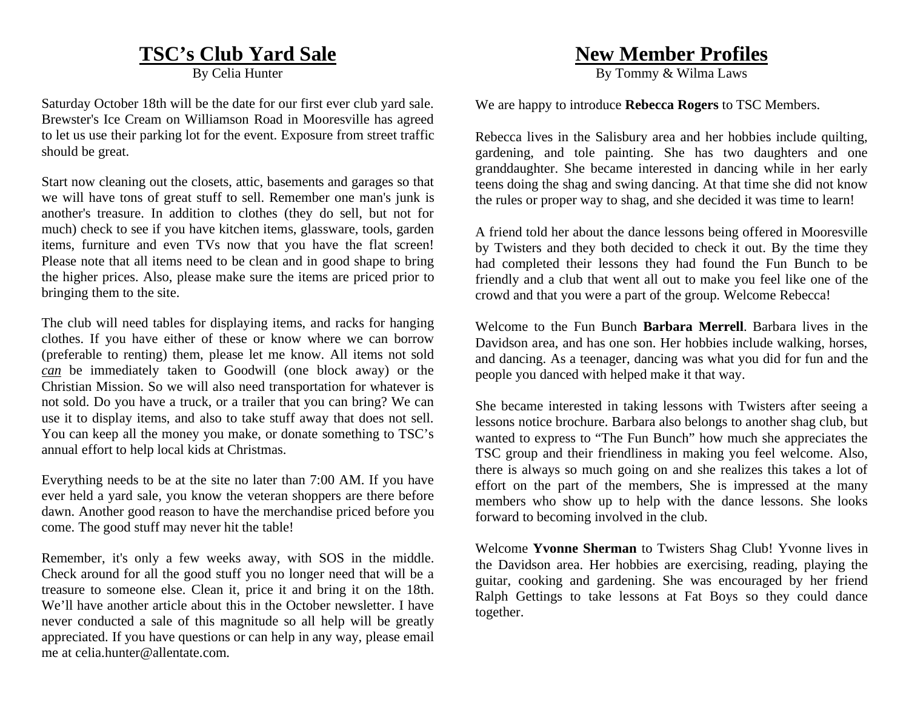### **TSC's Club Yard Sale**

By Celia Hunter

Saturday October 18th will be the date for our first ever club yard sale. Brewster's Ice Cream on Williamson Road in Mooresville has agreed to let us use their parking lot for the event. Exposure from street traffic should be great.

Start now cleaning out the closets, attic, basements and garages so that we will have tons of great stuff to sell. Remember one man's junk is another's treasure. In addition to clothes (they do sell, but not for much) check to see if you have kitchen items, glassware, tools, garden items, furniture and even TVs now that you have the flat screen! Please note that all items need to be clean and in good shape to bring the higher prices. Also, please make sure the items are priced prior to bringing them to the site.

The club will need tables for displaying items, and racks for hanging clothes. If you have either of these or know where we can borrow (preferable to renting) them, please let me know. All items not sold *can* be immediately taken to Goodwill (one block away) or the Christian Mission. So we will also need transportation for whatever is not sold. Do you have a truck, or a trailer that you can bring? We can use it to display items, and also to take stuff away that does not sell. You can keep all the money you make, or donate something to TSC's annual effort to help local kids at Christmas.

Everything needs to be at the site no later than 7:00 AM. If you have ever held a yard sale, you know the veteran shoppers are there before dawn. Another good reason to have the merchandise priced before you come. The good stuff may never hit the table!

Remember, it's only a few weeks away, with SOS in the middle. Check around for all the good stuff you no longer need that will be a treasure to someone else. Clean it, price it and bring it on the 18th. We'll have another article about this in the October newsletter. I have never conducted a sale of this magnitude so all help will be greatly appreciated. If you have questions or can help in any way, please email me at celia.hunter@allentate.com

### **New Member Profiles**

By Tommy & Wilma Laws

We are happy to introduce **Rebecca Rogers** to TSC Members.

Rebecca lives in the Salisbury area and her hobbies include quilting, gardening, and tole painting. She has two daughters and one granddaughter. She became interested in dancing while in her early teens doing the shag and swing dancing. At that time she did not know the rules or proper way to shag, and she decided it was time to learn!

A friend told her about the dance lessons being offered in Mooresville by Twisters and they both decided to check it out. By the time they had completed their lessons they had found the Fun Bunch to be friendly and a club that went all out to make you feel like one of the crowd and that you were a part of the group. Welcome Rebecca!

Welcome to the Fun Bunch **Barbara Merrell**. Barbara lives in the Davidson area, and has one son. Her hobbies include walking, horses, and dancing. As a teenager, dancing was what you did for fun and the people you danced with helped make it that way.

She became interested in taking lessons with Twisters after seeing a lessons notice brochure. Barbara also belongs to another shag club, but wanted to express to "The Fun Bunch" how much she appreciates the TSC group and their friendliness in making you feel welcome. Also, there is always so much going on and she realizes this takes a lot of effort on the part of the members, She is impressed at the many members who show up to help with the dance lessons. She looks forward to becoming involved in the club.

Welcome **Yvonne Sherman** to Twisters Shag Club! Yvonne lives in the Davidson area. Her hobbies are exercising, reading, playing the guitar, cooking and gardening. She was encouraged by her friend Ralph Gettings to take lessons at Fat Boys so they could dance together.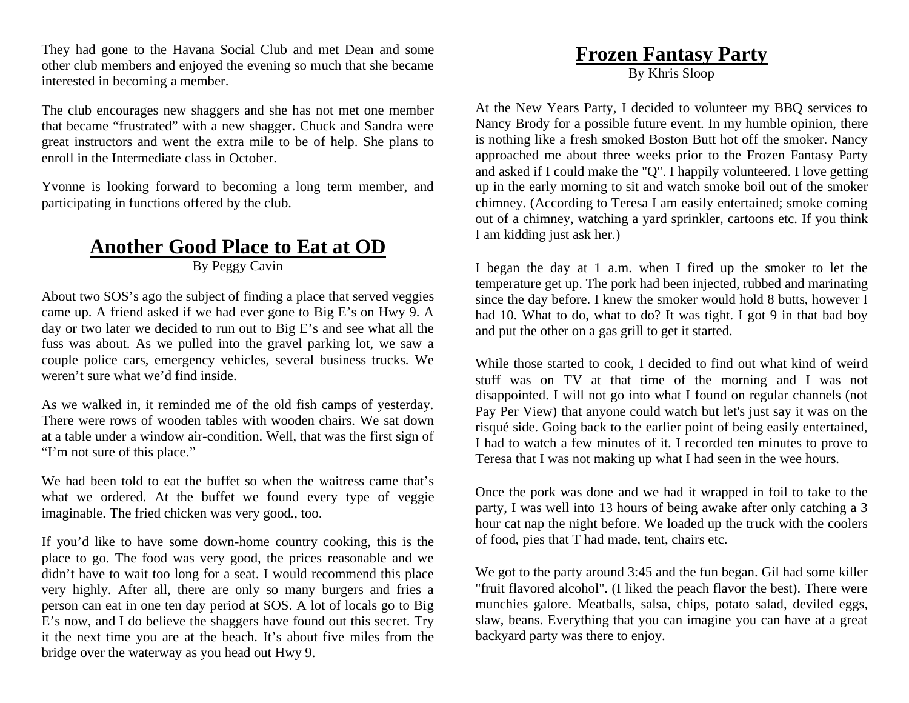They had gone to the Havana Social Club and met Dean and some other club members and enjoyed the evening so much that she became interested in becoming a member.

The club encourages new shaggers and she has not met one member that became "frustrated" with a new shagger. Chuck and Sandra were great instructors and went the extra mile to be of help. She plans to enroll in the Intermediate class in October.

Yvonne is looking forward to becoming a long term member, and participating in functions offered by the club.

### **Another Good Place to Eat at OD**

By Peggy Cavin

About two SOS's ago the subject of finding a place that served veggies came up. A friend asked if we had ever gone to Big E's on Hwy 9. A day or two later we decided to run out to Big E's and see what all the fuss was about. As we pulled into the gravel parking lot, we saw a couple police cars, emergency vehicles, several business trucks. We weren't sure what we'd find inside.

As we walked in, it reminded me of the old fish camps of yesterday. There were rows of wooden tables with wooden chairs. We sat down at a table under a window air-condition. Well, that was the first sign of "I'm not sure of this place."

We had been told to eat the buffet so when the waitress came that's what we ordered. At the buffet we found every type of veggie imaginable. The fried chicken was very good., too.

If you'd like to have some down-home country cooking, this is the place to go. The food was very good, the prices reasonable and we didn't have to wait too long for a seat. I would recommend this place very highly. After all, there are only so many burgers and fries a person can eat in one ten day period at SOS. A lot of locals go to Big E's now, and I do believe the shaggers have found out this secret. Try it the next time you are at the beach. It's about five miles from the bridge over the waterway as you head out Hwy 9.

# **Frozen Fantasy Party**

By Khris Sloop

At the New Years Party, I decided to volunteer my BBQ services to Nancy Brody for a possible future event. In my humble opinion, there is nothing like a fresh smoked Boston Butt hot off the smoker. Nancy approached me about three weeks prior to the Frozen Fantasy Party and asked if I could make the "Q". I happily volunteered. I love getting up in the early morning to sit and watch smoke boil out of the smoker chimney. (According to Teresa I am easily entertained; smoke coming out of a chimney, watching a yard sprinkler, cartoons etc. If you think I am kidding just ask her.)

I began the day at 1 a.m. when I fired up the smoker to let the temperature get up. The pork had been injected, rubbed and marinating since the day before. I knew the smoker would hold 8 butts, however I had 10. What to do, what to do? It was tight. I got 9 in that bad boy and put the other on a gas grill to get it started.

While those started to cook, I decided to find out what kind of weird stuff was on TV at that time of the morning and I was not disappointed. I will not go into what I found on regular channels (not Pay Per View) that anyone could watch but let's just say it was on the risqué side. Going back to the earlier point of being easily entertained, I had to watch a few minutes of it. I recorded ten minutes to prove to Teresa that I was not making up what I had seen in the wee hours.

Once the pork was done and we had it wrapped in foil to take to the party, I was well into 13 hours of being awake after only catching a 3 hour cat nap the night before. We loaded up the truck with the coolers of food, pies that T had made, tent, chairs etc.

We got to the party around 3:45 and the fun began. Gil had some killer "fruit flavored alcohol". (I liked the peach flavor the best). There were munchies galore. Meatballs, salsa, chips, potato salad, deviled eggs, slaw, beans. Everything that you can imagine you can have at a great backyard party was there to enjoy.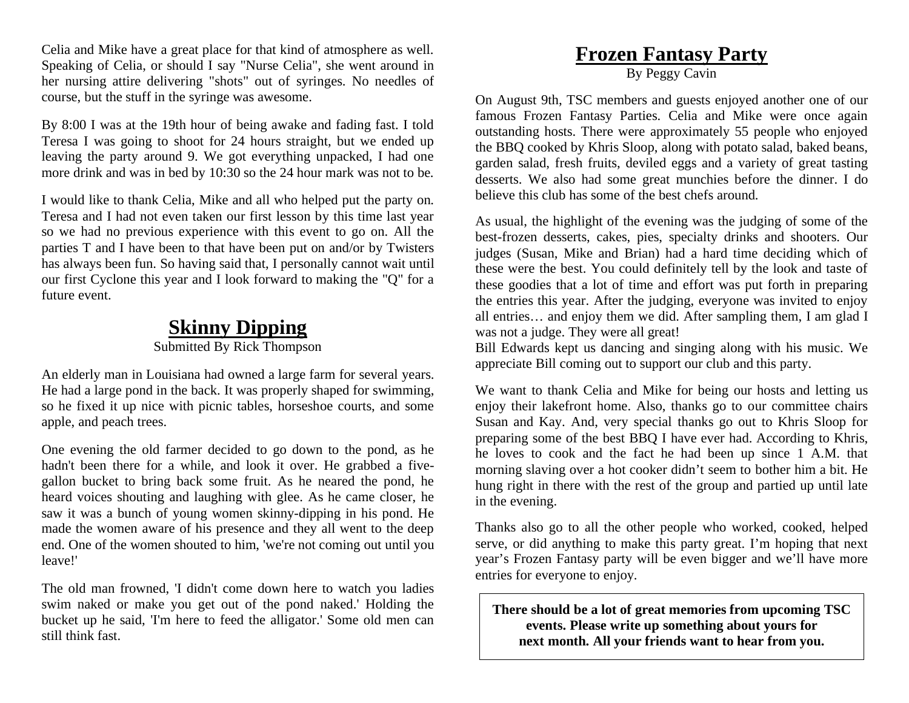Celia and Mike have a great place for that kind of atmosphere as well. Speaking of Celia, or should I say "Nurse Celia", she went around in her nursing attire delivering "shots" out of syringes. No needles of course, but the stuff in the syringe was awesome.

By 8:00 I was at the 19th hour of being awake and fading fast. I told Teresa I was going to shoot for 24 hours straight, but we ended up leaving the party around 9. We got everything unpacked, I had one more drink and was in bed by 10:30 so the 24 hour mark was not to be.

I would like to thank Celia, Mike and all who helped put the party on. Teresa and I had not even taken our first lesson by this time last year so we had no previous experience with this event to go on. All the parties T and I have been to that have been put on and/or by Twisters has always been fun. So having said that, I personally cannot wait until our first Cyclone this year and I look forward to making the "Q" for a future event.

### **Skinny Dipping**

### Submitted By Rick Thompson

An elderly man in Louisiana had owned a large farm for several years. He had a large pond in the back. It was properly shaped for swimming, so he fixed it up nice with picnic tables, horseshoe courts, and some apple, and peach trees.

One evening the old farmer decided to go down to the pond, as he hadn't been there for a while, and look it over. He grabbed a fivegallon bucket to bring back some fruit. As he neared the pond, he heard voices shouting and laughing with glee. As he came closer, he saw it was a bunch of young women skinny-dipping in his pond. He made the women aware of his presence and they all went to the deep end. One of the women shouted to him, 'we're not coming out until you leave!'

The old man frowned, 'I didn't come down here to watch you ladies swim naked or make you get out of the pond naked.' Holding the bucket up he said, 'I'm here to feed the alligator.' Some old men can still think fast.

### **Frozen Fantasy Party** By Peggy Cavin

On August 9th, TSC members and guests enjoyed another one of our famous Frozen Fantasy Parties. Celia and Mike were once again outstanding hosts. There were approximately 55 people who enjoyed the BBQ cooked by Khris Sloop, along with potato salad, baked beans, garden salad, fresh fruits, deviled eggs and a variety of great tasting desserts. We also had some great munchies before the dinner. I do believe this club has some of the best chefs around.

As usual, the highlight of the evening was the judging of some of the best-frozen desserts, cakes, pies, specialty drinks and shooters. Our judges (Susan, Mike and Brian) had a hard time deciding which of these were the best. You could definitely tell by the look and taste of these goodies that a lot of time and effort was put forth in preparing the entries this year. After the judging, everyone was invited to enjoy all entries… and enjoy them we did. After sampling them, I am glad I was not a judge. They were all great!

Bill Edwards kept us dancing and singing along with his music. We appreciate Bill coming out to support our club and this party.

We want to thank Celia and Mike for being our hosts and letting us enjoy their lakefront home. Also, thanks go to our committee chairs Susan and Kay. And, very special thanks go out to Khris Sloop for preparing some of the best BBQ I have ever had. According to Khris, he loves to cook and the fact he had been up since 1 A.M. that morning slaving over a hot cooker didn't seem to bother him a bit. He hung right in there with the rest of the group and partied up until late in the evening.

Thanks also go to all the other people who worked, cooked, helped serve, or did anything to make this party great. I'm hoping that next year's Frozen Fantasy party will be even bigger and we'll have more entries for everyone to enjoy.

**There should be a lot of great memories from upcoming TSC events. Please write up something about yours for next month. All your friends want to hear from you.**